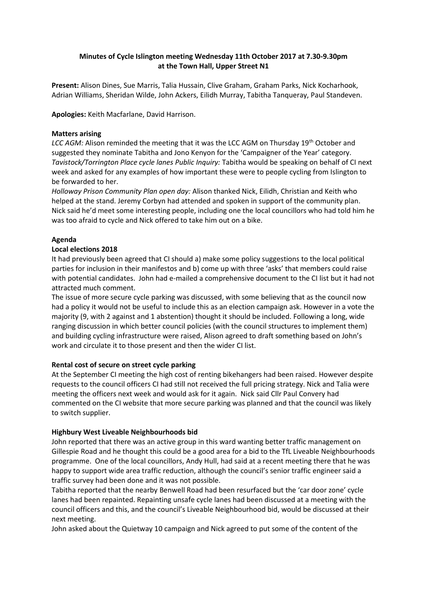# **Minutes of Cycle Islington meeting Wednesday 11th October 2017 at 7.30-9.30pm at the Town Hall, Upper Street N1**

**Present:** Alison Dines, Sue Marris, Talia Hussain, Clive Graham, Graham Parks, Nick Kocharhook, Adrian Williams, Sheridan Wilde, John Ackers, Eilidh Murray, Tabitha Tanqueray, Paul Standeven.

**Apologies:** Keith Macfarlane, David Harrison.

## **Matters arising**

LCC AGM: Alison reminded the meeting that it was the LCC AGM on Thursday 19<sup>th</sup> October and suggested they nominate Tabitha and Jono Kenyon for the 'Campaigner of the Year' category. *Tavistock/Torrington Place cycle lanes Public Inquiry:* Tabitha would be speaking on behalf of CI next week and asked for any examples of how important these were to people cycling from Islington to be forwarded to her.

*Holloway Prison Community Plan open day:* Alison thanked Nick, Eilidh, Christian and Keith who helped at the stand. Jeremy Corbyn had attended and spoken in support of the community plan. Nick said he'd meet some interesting people, including one the local councillors who had told him he was too afraid to cycle and Nick offered to take him out on a bike.

# **Agenda**

## **Local elections 2018**

It had previously been agreed that CI should a) make some policy suggestions to the local political parties for inclusion in their manifestos and b) come up with three 'asks' that members could raise with potential candidates. John had e-mailed a comprehensive document to the CI list but it had not attracted much comment.

The issue of more secure cycle parking was discussed, with some believing that as the council now had a policy it would not be useful to include this as an election campaign ask. However in a vote the majority (9, with 2 against and 1 abstention) thought it should be included. Following a long, wide ranging discussion in which better council policies (with the council structures to implement them) and building cycling infrastructure were raised, Alison agreed to draft something based on John's work and circulate it to those present and then the wider CI list.

### **Rental cost of secure on street cycle parking**

At the September CI meeting the high cost of renting bikehangers had been raised. However despite requests to the council officers CI had still not received the full pricing strategy. Nick and Talia were meeting the officers next week and would ask for it again. Nick said Cllr Paul Convery had commented on the CI website that more secure parking was planned and that the council was likely to switch supplier.

# **Highbury West Liveable Neighbourhoods bid**

John reported that there was an active group in this ward wanting better traffic management on Gillespie Road and he thought this could be a good area for a bid to the TfL Liveable Neighbourhoods programme. One of the local councillors, Andy Hull, had said at a recent meeting there that he was happy to support wide area traffic reduction, although the council's senior traffic engineer said a traffic survey had been done and it was not possible.

Tabitha reported that the nearby Benwell Road had been resurfaced but the 'car door zone' cycle lanes had been repainted. Repainting unsafe cycle lanes had been discussed at a meeting with the council officers and this, and the council's Liveable Neighbourhood bid, would be discussed at their next meeting.

John asked about the Quietway 10 campaign and Nick agreed to put some of the content of the